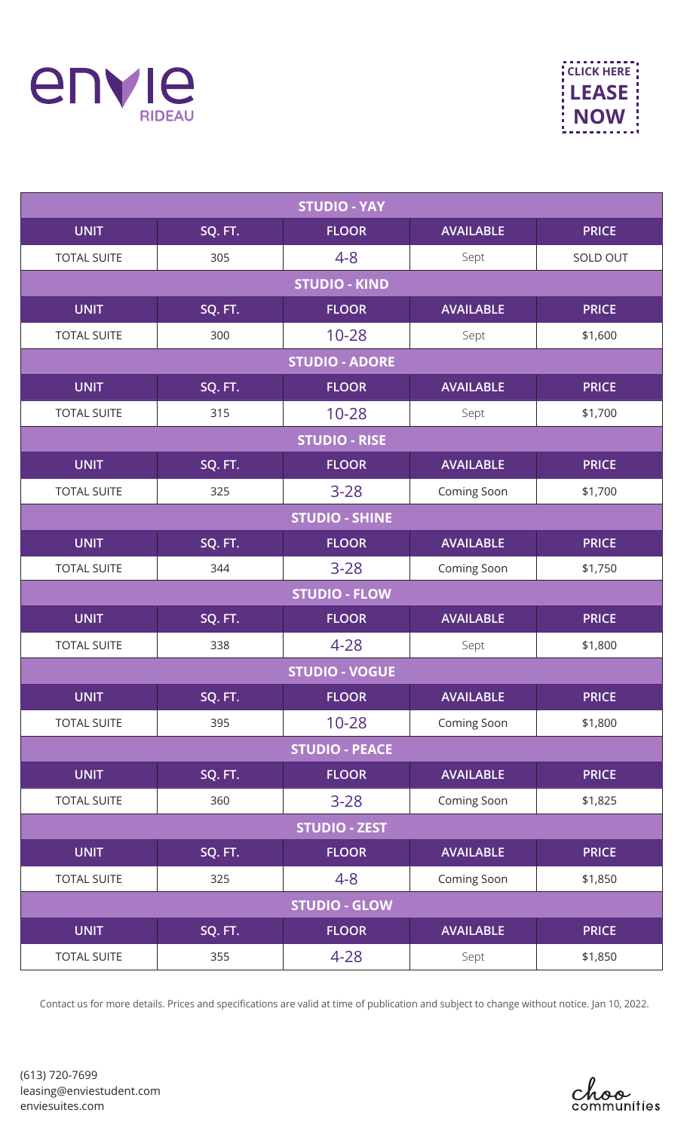

| <b>STUDIO - YAY</b>   |         |                       |                  |              |
|-----------------------|---------|-----------------------|------------------|--------------|
| <b>UNIT</b>           | SQ. FT. | <b>FLOOR</b>          | <b>AVAILABLE</b> | <b>PRICE</b> |
| <b>TOTAL SUITE</b>    | 305     | $4 - 8$               | Sept             | SOLD OUT     |
|                       |         | <b>STUDIO - KIND</b>  |                  |              |
| <b>UNIT</b>           | SQ. FT. | <b>FLOOR</b>          | <b>AVAILABLE</b> | <b>PRICE</b> |
| <b>TOTAL SUITE</b>    | 300     | $10 - 28$             | Sept             | \$1,600      |
|                       |         | <b>STUDIO - ADORE</b> |                  |              |
| <b>UNIT</b>           | SQ. FT. | <b>FLOOR</b>          | <b>AVAILABLE</b> | <b>PRICE</b> |
| <b>TOTAL SUITE</b>    | 315     | $10 - 28$             | Sept             | \$1,700      |
|                       |         | <b>STUDIO - RISE</b>  |                  |              |
| <b>UNIT</b>           | SQ. FT. | <b>FLOOR</b>          | <b>AVAILABLE</b> | <b>PRICE</b> |
| <b>TOTAL SUITE</b>    | 325     | $3 - 28$              | Coming Soon      | \$1,700      |
| <b>STUDIO - SHINE</b> |         |                       |                  |              |
| <b>UNIT</b>           | SQ. FT. | <b>FLOOR</b>          | <b>AVAILABLE</b> | <b>PRICE</b> |
| <b>TOTAL SUITE</b>    | 344     | $3 - 28$              | Coming Soon      | \$1,750      |
|                       |         | <b>STUDIO - FLOW</b>  |                  |              |
| <b>UNIT</b>           | SQ. FT. | <b>FLOOR</b>          | <b>AVAILABLE</b> | <b>PRICE</b> |
| <b>TOTAL SUITE</b>    | 338     | $4 - 28$              | Sept             | \$1,800      |
| <b>STUDIO - VOGUE</b> |         |                       |                  |              |
| <b>UNIT</b>           | SQ. FT. | <b>FLOOR</b>          | <b>AVAILABLE</b> | <b>PRICE</b> |
| <b>TOTAL SUITE</b>    | 395     | $10 - 28$             | Coming Soon      | \$1,800      |
| <b>STUDIO - PEACE</b> |         |                       |                  |              |
| <b>UNIT</b>           | SQ. FT. | <b>FLOOR</b>          | <b>AVAILABLE</b> | <b>PRICE</b> |
| <b>TOTAL SUITE</b>    | 360     | $3 - 28$              | Coming Soon      | \$1,825      |
| <b>STUDIO - ZEST</b>  |         |                       |                  |              |
| <b>UNIT</b>           | SQ. FT. | <b>FLOOR</b>          | <b>AVAILABLE</b> | <b>PRICE</b> |
| <b>TOTAL SUITE</b>    | 325     | $4 - 8$               | Coming Soon      | \$1,850      |
| <b>STUDIO - GLOW</b>  |         |                       |                  |              |
| <b>UNIT</b>           | SQ. FT. | <b>FLOOR</b>          | <b>AVAILABLE</b> | <b>PRICE</b> |
| <b>TOTAL SUITE</b>    | 355     | $4 - 28$              | Sept             | \$1,850      |

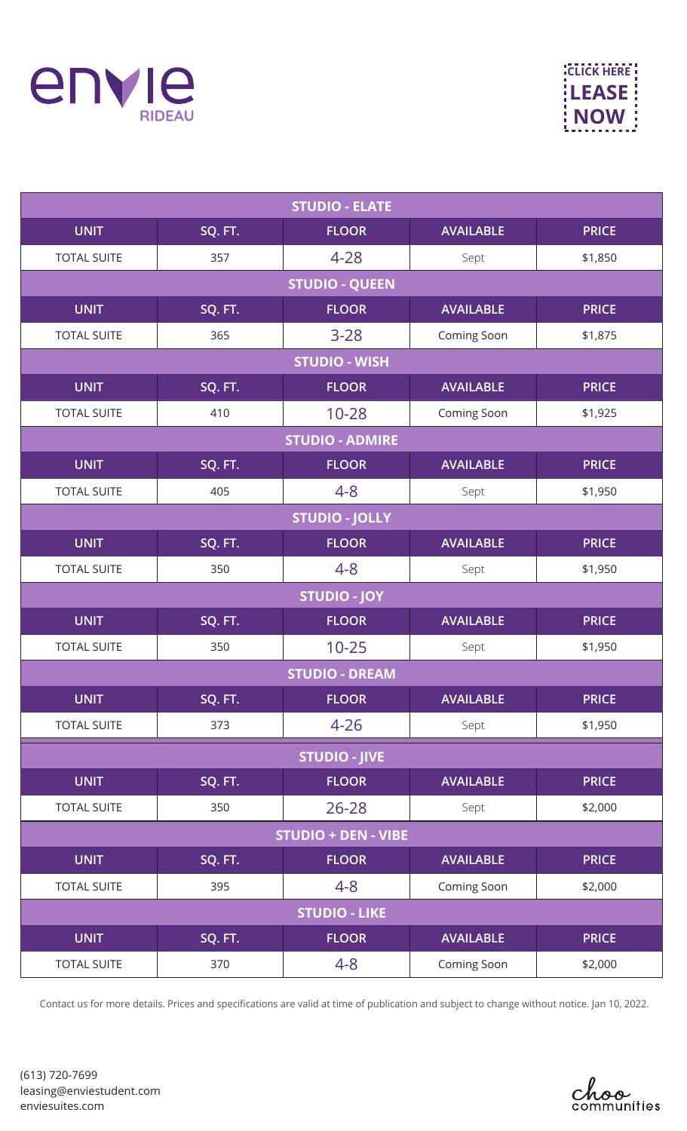

**CLICK HERE [LEASE](https://enviestudent.com/contact/?utm_campaign=pdfclick&utm_source=rideau&utm_medium=pricelist&utm_size=content&utm_term=en) NOW**

| <b>STUDIO - ELATE</b>      |                      |                        |                  |              |  |
|----------------------------|----------------------|------------------------|------------------|--------------|--|
| <b>UNIT</b>                | SQ. FT.              | <b>FLOOR</b>           | <b>AVAILABLE</b> | <b>PRICE</b> |  |
| <b>TOTAL SUITE</b>         | 357                  | $4 - 28$               | Sept             | \$1,850      |  |
|                            |                      | <b>STUDIO - QUEEN</b>  |                  |              |  |
| <b>UNIT</b>                | SQ. FT.              | <b>FLOOR</b>           | <b>AVAILABLE</b> | <b>PRICE</b> |  |
| <b>TOTAL SUITE</b>         | 365                  | $3 - 28$               | Coming Soon      | \$1,875      |  |
|                            | <b>STUDIO - WISH</b> |                        |                  |              |  |
| <b>UNIT</b>                | SQ. FT.              | <b>FLOOR</b>           | <b>AVAILABLE</b> | <b>PRICE</b> |  |
| <b>TOTAL SUITE</b>         | 410                  | $10 - 28$              | Coming Soon      | \$1,925      |  |
|                            |                      | <b>STUDIO - ADMIRE</b> |                  |              |  |
| <b>UNIT</b>                | SQ. FT.              | <b>FLOOR</b>           | <b>AVAILABLE</b> | <b>PRICE</b> |  |
| <b>TOTAL SUITE</b>         | 405                  | $4 - 8$                | Sept             | \$1,950      |  |
| <b>STUDIO - JOLLY</b>      |                      |                        |                  |              |  |
| <b>UNIT</b>                | SQ. FT.              | <b>FLOOR</b>           | <b>AVAILABLE</b> | <b>PRICE</b> |  |
| <b>TOTAL SUITE</b>         | 350                  | $4 - 8$                | Sept             | \$1,950      |  |
|                            |                      | <b>STUDIO - JOY</b>    |                  |              |  |
| <b>UNIT</b>                | SQ. FT.              | <b>FLOOR</b>           | <b>AVAILABLE</b> | <b>PRICE</b> |  |
| <b>TOTAL SUITE</b>         | 350                  | $10 - 25$              | Sept             | \$1,950      |  |
| <b>STUDIO - DREAM</b>      |                      |                        |                  |              |  |
| UNIT                       | SQ. FT.              | <b>FLOOR</b>           | <b>AVAILABLE</b> | <b>PRICE</b> |  |
| <b>TOTAL SUITE</b>         | 373                  | $4 - 26$               | Sept             | \$1,950      |  |
| <b>STUDIO - JIVE</b>       |                      |                        |                  |              |  |
| <b>UNIT</b>                | SQ. FT.              | <b>FLOOR</b>           | <b>AVAILABLE</b> | <b>PRICE</b> |  |
| <b>TOTAL SUITE</b>         | 350                  | $26 - 28$              | Sept             | \$2,000      |  |
| <b>STUDIO + DEN - VIBE</b> |                      |                        |                  |              |  |
| <b>UNIT</b>                | SQ. FT.              | <b>FLOOR</b>           | <b>AVAILABLE</b> | <b>PRICE</b> |  |
| <b>TOTAL SUITE</b>         | 395                  | $4 - 8$                | Coming Soon      | \$2,000      |  |
| <b>STUDIO - LIKE</b>       |                      |                        |                  |              |  |
| <b>UNIT</b>                | SQ. FT.              | <b>FLOOR</b>           | <b>AVAILABLE</b> | <b>PRICE</b> |  |
| <b>TOTAL SUITE</b>         | 370                  | $4 - 8$                | Coming Soon      | \$2,000      |  |

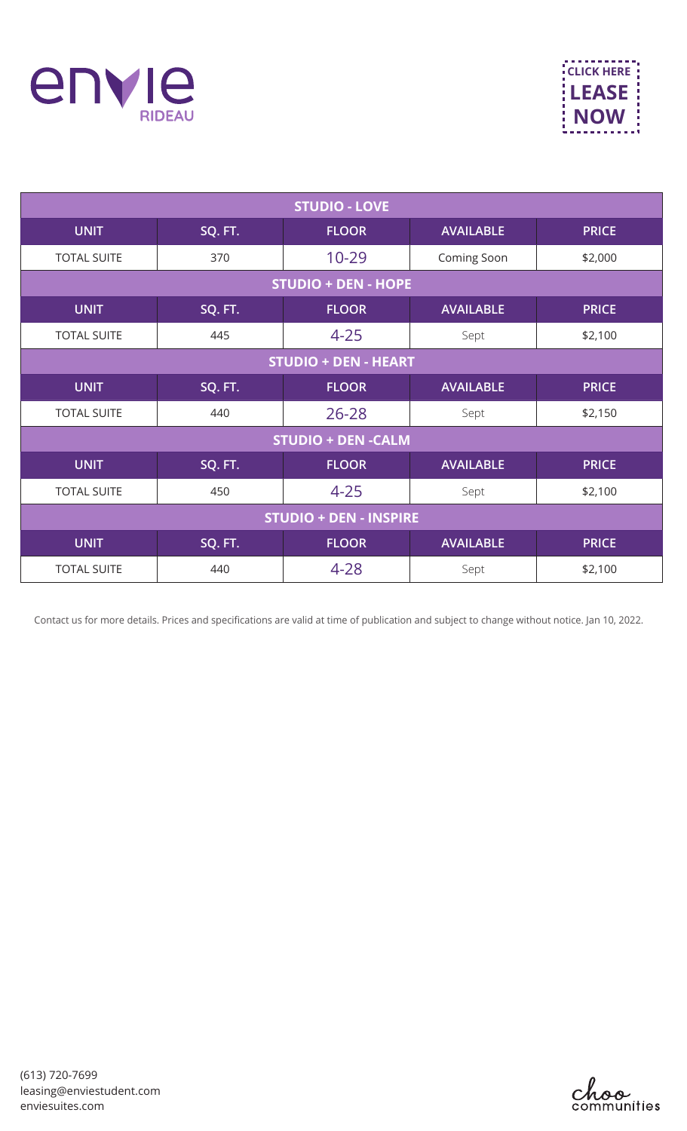

| <b>STUDIO - LOVE</b>          |         |              |                  |              |
|-------------------------------|---------|--------------|------------------|--------------|
| <b>UNIT</b>                   | SQ. FT. | <b>FLOOR</b> | <b>AVAILABLE</b> | <b>PRICE</b> |
| <b>TOTAL SUITE</b>            | 370     | $10 - 29$    | Coming Soon      | \$2,000      |
| <b>STUDIO + DEN - HOPE</b>    |         |              |                  |              |
| <b>UNIT</b>                   | SQ. FT. | <b>FLOOR</b> | <b>AVAILABLE</b> | <b>PRICE</b> |
| <b>TOTAL SUITE</b>            | 445     | $4 - 25$     | Sept             | \$2,100      |
| <b>STUDIO + DEN - HEART</b>   |         |              |                  |              |
| <b>UNIT</b>                   | SQ. FT. | <b>FLOOR</b> | <b>AVAILABLE</b> | <b>PRICE</b> |
| <b>TOTAL SUITE</b>            | 440     | $26 - 28$    | Sept             | \$2,150      |
| <b>STUDIO + DEN -CALM</b>     |         |              |                  |              |
| <b>UNIT</b>                   | SQ. FT. | <b>FLOOR</b> | <b>AVAILABLE</b> | <b>PRICE</b> |
| <b>TOTAL SUITE</b>            | 450     | $4 - 25$     | Sept             | \$2,100      |
| <b>STUDIO + DEN - INSPIRE</b> |         |              |                  |              |
| <b>UNIT</b>                   | SQ. FT. | <b>FLOOR</b> | <b>AVAILABLE</b> | <b>PRICE</b> |
| <b>TOTAL SUITE</b>            | 440     | $4 - 28$     | Sept             | \$2,100      |